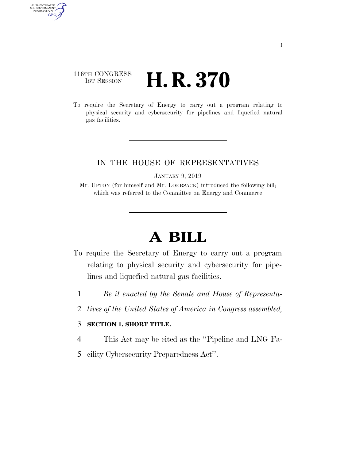### 116TH CONGRESS **1st Session H. R. 370**

AUTHENTICATED<br>U.S. GOVERNMENT<br>INFORMATION GPO

> To require the Secretary of Energy to carry out a program relating to physical security and cybersecurity for pipelines and liquefied natural gas facilities.

#### IN THE HOUSE OF REPRESENTATIVES

JANUARY 9, 2019

Mr. UPTON (for himself and Mr. LOEBSACK) introduced the following bill; which was referred to the Committee on Energy and Commerce

# **A BILL**

- To require the Secretary of Energy to carry out a program relating to physical security and cybersecurity for pipelines and liquefied natural gas facilities.
	- 1 *Be it enacted by the Senate and House of Representa-*
	- 2 *tives of the United States of America in Congress assembled,*

#### 3 **SECTION 1. SHORT TITLE.**

- 4 This Act may be cited as the ''Pipeline and LNG Fa-
- 5 cility Cybersecurity Preparedness Act''.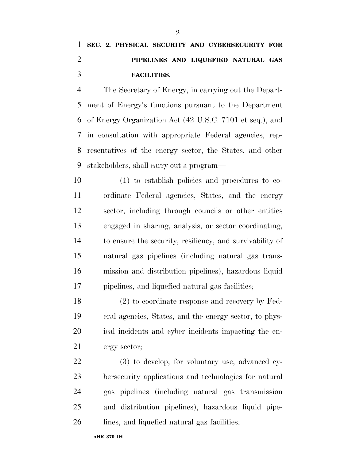## **SEC. 2. PHYSICAL SECURITY AND CYBERSECURITY FOR PIPELINES AND LIQUEFIED NATURAL GAS FACILITIES.**

 The Secretary of Energy, in carrying out the Depart- ment of Energy's functions pursuant to the Department of Energy Organization Act (42 U.S.C. 7101 et seq.), and in consultation with appropriate Federal agencies, rep- resentatives of the energy sector, the States, and other stakeholders, shall carry out a program—

 (1) to establish policies and procedures to co- ordinate Federal agencies, States, and the energy sector, including through councils or other entities engaged in sharing, analysis, or sector coordinating, to ensure the security, resiliency, and survivability of natural gas pipelines (including natural gas trans- mission and distribution pipelines), hazardous liquid pipelines, and liquefied natural gas facilities;

 (2) to coordinate response and recovery by Fed- eral agencies, States, and the energy sector, to phys- ical incidents and cyber incidents impacting the en-ergy sector;

 (3) to develop, for voluntary use, advanced cy- bersecurity applications and technologies for natural gas pipelines (including natural gas transmission and distribution pipelines), hazardous liquid pipe-lines, and liquefied natural gas facilities;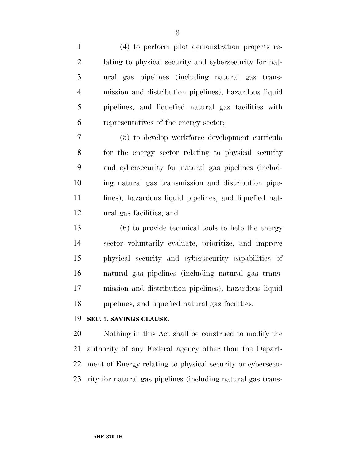(4) to perform pilot demonstration projects re- lating to physical security and cybersecurity for nat- ural gas pipelines (including natural gas trans- mission and distribution pipelines), hazardous liquid pipelines, and liquefied natural gas facilities with representatives of the energy sector; (5) to develop workforce development curricula for the energy sector relating to physical security and cybersecurity for natural gas pipelines (includ- ing natural gas transmission and distribution pipe-11 lines), hazardous liquid pipelines, and liquefied nat- ural gas facilities; and (6) to provide technical tools to help the energy sector voluntarily evaluate, prioritize, and improve physical security and cybersecurity capabilities of natural gas pipelines (including natural gas trans- mission and distribution pipelines), hazardous liquid pipelines, and liquefied natural gas facilities.

#### **SEC. 3. SAVINGS CLAUSE.**

 Nothing in this Act shall be construed to modify the authority of any Federal agency other than the Depart- ment of Energy relating to physical security or cybersecu-rity for natural gas pipelines (including natural gas trans-